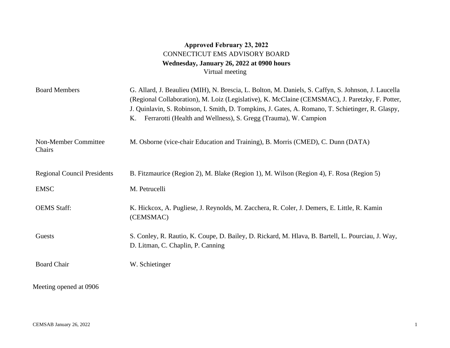## **Approved February 23, 2022** CONNECTICUT EMS ADVISORY BOARD **Wednesday, January 26, 2022 at 0900 hours**  Virtual meeting

| <b>Board Members</b>               | G. Allard, J. Beaulieu (MIH), N. Brescia, L. Bolton, M. Daniels, S. Caffyn, S. Johnson, J. Laucella<br>(Regional Collaboration), M. Loiz (Legislative), K. McClaine (CEMSMAC), J. Paretzky, F. Potter,<br>J. Quinlavin, S. Robinson, I. Smith, D. Tompkins, J. Gates, A. Romano, T. Schietinger, R. Glaspy,<br>Κ.<br>Ferrarotti (Health and Wellness), S. Gregg (Trauma), W. Campion |
|------------------------------------|--------------------------------------------------------------------------------------------------------------------------------------------------------------------------------------------------------------------------------------------------------------------------------------------------------------------------------------------------------------------------------------|
| Non-Member Committee<br>Chairs     | M. Osborne (vice-chair Education and Training), B. Morris (CMED), C. Dunn (DATA)                                                                                                                                                                                                                                                                                                     |
| <b>Regional Council Presidents</b> | B. Fitzmaurice (Region 2), M. Blake (Region 1), M. Wilson (Region 4), F. Rosa (Region 5)                                                                                                                                                                                                                                                                                             |
| <b>EMSC</b>                        | M. Petrucelli                                                                                                                                                                                                                                                                                                                                                                        |
| <b>OEMS</b> Staff:                 | K. Hickcox, A. Pugliese, J. Reynolds, M. Zacchera, R. Coler, J. Demers, E. Little, R. Kamin<br>(CEMSMAC)                                                                                                                                                                                                                                                                             |
| Guests                             | S. Conley, R. Rautio, K. Coupe, D. Bailey, D. Rickard, M. Hlava, B. Bartell, L. Pourciau, J. Way,<br>D. Litman, C. Chaplin, P. Canning                                                                                                                                                                                                                                               |
| <b>Board Chair</b>                 | W. Schietinger                                                                                                                                                                                                                                                                                                                                                                       |
| Meeting opened at 0906             |                                                                                                                                                                                                                                                                                                                                                                                      |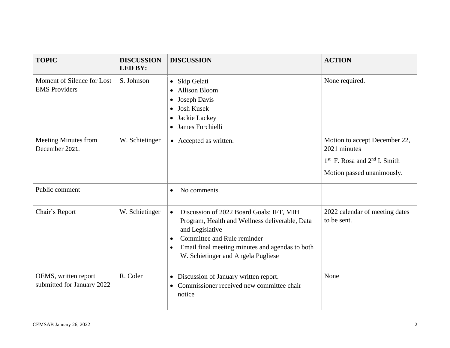| <b>TOPIC</b>                                       | <b>DISCUSSION</b><br><b>LED BY:</b> | <b>DISCUSSION</b>                                                                                                                                                                                                                                  | <b>ACTION</b>                                                                                                   |
|----------------------------------------------------|-------------------------------------|----------------------------------------------------------------------------------------------------------------------------------------------------------------------------------------------------------------------------------------------------|-----------------------------------------------------------------------------------------------------------------|
| Moment of Silence for Lost<br><b>EMS</b> Providers | S. Johnson                          | Skip Gelati<br>$\bullet$<br><b>Allison Bloom</b><br>Joseph Davis<br>$\bullet$<br><b>Josh Kusek</b><br>Jackie Lackey<br>James Forchielli<br>$\bullet$                                                                                               | None required.                                                                                                  |
| <b>Meeting Minutes from</b><br>December 2021.      | W. Schietinger                      | • Accepted as written.                                                                                                                                                                                                                             | Motion to accept December 22,<br>2021 minutes<br>$1st$ F. Rosa and $2nd$ I. Smith<br>Motion passed unanimously. |
| Public comment                                     |                                     | No comments.<br>$\bullet$                                                                                                                                                                                                                          |                                                                                                                 |
| Chair's Report                                     | W. Schietinger                      | Discussion of 2022 Board Goals: IFT, MIH<br>$\bullet$<br>Program, Health and Wellness deliverable, Data<br>and Legislative<br>Committee and Rule reminder<br>Email final meeting minutes and agendas to both<br>W. Schietinger and Angela Pugliese | 2022 calendar of meeting dates<br>to be sent.                                                                   |
| OEMS, written report<br>submitted for January 2022 | R. Coler                            | • Discussion of January written report.<br>Commissioner received new committee chair<br>notice                                                                                                                                                     | None                                                                                                            |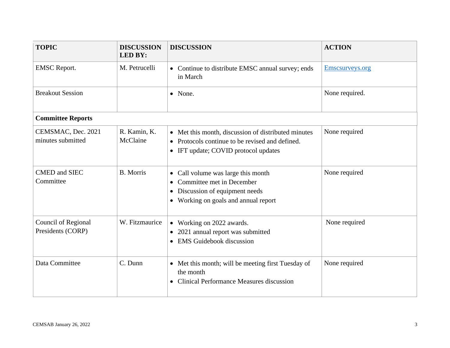| <b>TOPIC</b>                             | <b>DISCUSSION</b><br><b>LED BY:</b> | <b>DISCUSSION</b>                                                                                                                                                | <b>ACTION</b>   |
|------------------------------------------|-------------------------------------|------------------------------------------------------------------------------------------------------------------------------------------------------------------|-----------------|
| <b>EMSC</b> Report.                      | M. Petrucelli                       | • Continue to distribute EMSC annual survey; ends<br>in March                                                                                                    | Emscsurveys.org |
| <b>Breakout Session</b>                  |                                     | • None.                                                                                                                                                          | None required.  |
| <b>Committee Reports</b>                 |                                     |                                                                                                                                                                  |                 |
| CEMSMAC, Dec. 2021<br>minutes submitted  | R. Kamin, K.<br>McClaine            | • Met this month, discussion of distributed minutes<br>• Protocols continue to be revised and defined.<br>• IFT update; COVID protocol updates                   | None required   |
| <b>CMED</b> and SIEC<br>Committee        | <b>B.</b> Morris                    | • Call volume was large this month<br>Committee met in December<br>Discussion of equipment needs<br>$\bullet$<br>Working on goals and annual report<br>$\bullet$ | None required   |
| Council of Regional<br>Presidents (CORP) | W. Fitzmaurice                      | • Working on 2022 awards.<br>2021 annual report was submitted<br>$\bullet$<br><b>EMS</b> Guidebook discussion<br>$\bullet$                                       | None required   |
| Data Committee                           | C. Dunn                             | • Met this month; will be meeting first Tuesday of<br>the month<br>• Clinical Performance Measures discussion                                                    | None required   |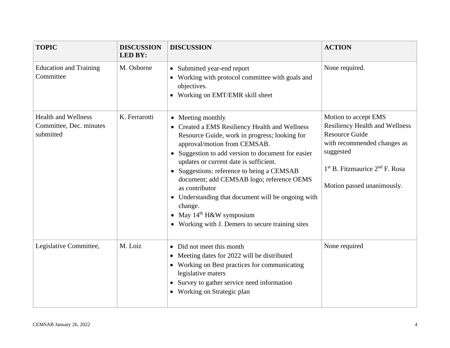| <b>TOPIC</b>                                                       | <b>DISCUSSION</b><br><b>LED BY:</b> | <b>DISCUSSION</b>                                                                                                                                                                                                                                                                                                                                                                                                                                                                                                   | <b>ACTION</b>                                                                                                                                                                                          |
|--------------------------------------------------------------------|-------------------------------------|---------------------------------------------------------------------------------------------------------------------------------------------------------------------------------------------------------------------------------------------------------------------------------------------------------------------------------------------------------------------------------------------------------------------------------------------------------------------------------------------------------------------|--------------------------------------------------------------------------------------------------------------------------------------------------------------------------------------------------------|
| <b>Education and Training</b><br>Committee                         | M. Osborne                          | • Submitted year-end report<br>• Working with protocol committee with goals and<br>objectives.<br>Working on EMT/EMR skill sheet                                                                                                                                                                                                                                                                                                                                                                                    | None required.                                                                                                                                                                                         |
| <b>Health and Wellness</b><br>Committee, Dec. minutes<br>submitted | K. Ferrarotti                       | • Meeting monthly<br>• Created a EMS Resiliency Health and Wellness<br>Resource Guide, work in progress; looking for<br>approval/motion from CEMSAB.<br>• Suggestion to add version to document for easier<br>updates or current date is sufficient.<br>• Suggestions: reference to being a CEMSAB<br>document; add CEMSAB logo; reference OEMS<br>as contributor<br>• Understanding that document will be ongoing with<br>change.<br>• May $14th$ H&W symposium<br>Working with J. Demers to secure training sites | Motion to accept EMS<br><b>Resiliency Health and Wellness</b><br><b>Resource Guide</b><br>with recommended changes as<br>suggested<br>$1st$ B. Fitzmaurice $2nd$ F. Rosa<br>Motion passed unanimously. |
| Legislative Committee,                                             | M. Loiz                             | • Did not meet this month<br>• Meeting dates for 2022 will be distributed<br>• Working on Best practices for communicating<br>legislative maters<br>Survey to gather service need information<br>$\bullet$<br>Working on Strategic plan<br>$\bullet$                                                                                                                                                                                                                                                                | None required                                                                                                                                                                                          |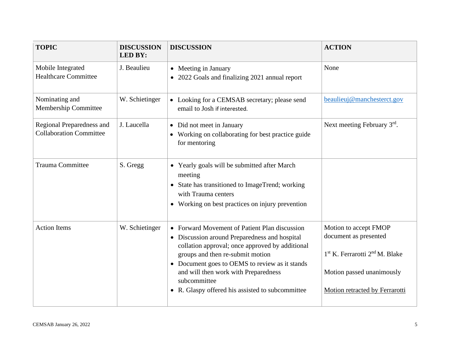| <b>TOPIC</b>                                                | <b>DISCUSSION</b><br><b>LED BY:</b> | <b>DISCUSSION</b>                                                                                                                                                                                                                                                                               | <b>ACTION</b>                                                                                                                         |
|-------------------------------------------------------------|-------------------------------------|-------------------------------------------------------------------------------------------------------------------------------------------------------------------------------------------------------------------------------------------------------------------------------------------------|---------------------------------------------------------------------------------------------------------------------------------------|
| Mobile Integrated<br><b>Healthcare Committee</b>            | J. Beaulieu                         | • Meeting in January<br>• 2022 Goals and finalizing 2021 annual report                                                                                                                                                                                                                          | None                                                                                                                                  |
| Nominating and<br><b>Membership Committee</b>               | W. Schietinger                      | • Looking for a CEMSAB secretary; please send<br>email to Josh if interested.                                                                                                                                                                                                                   | beaulieuj@manchesterct.gov                                                                                                            |
| Regional Preparedness and<br><b>Collaboration Committee</b> | J. Laucella                         | • Did not meet in January<br>Working on collaborating for best practice guide<br>for mentoring                                                                                                                                                                                                  | Next meeting February 3rd.                                                                                                            |
| <b>Trauma Committee</b>                                     | S. Gregg                            | Yearly goals will be submitted after March<br>meeting<br>State has transitioned to ImageTrend; working<br>with Trauma centers<br>Working on best practices on injury prevention<br>$\bullet$                                                                                                    |                                                                                                                                       |
| <b>Action Items</b>                                         | W. Schietinger                      | • Forward Movement of Patient Plan discussion<br>• Discussion around Preparedness and hospital<br>collation approval; once approved by additional<br>groups and then re-submit motion<br>• Document goes to OEMS to review as it stands<br>and will then work with Preparedness<br>subcommittee | Motion to accept FMOP<br>document as presented<br>1 <sup>st</sup> K. Ferrarotti 2 <sup>nd</sup> M. Blake<br>Motion passed unanimously |
|                                                             |                                     | • R. Glaspy offered his assisted to subcommittee                                                                                                                                                                                                                                                | Motion retracted by Ferrarotti                                                                                                        |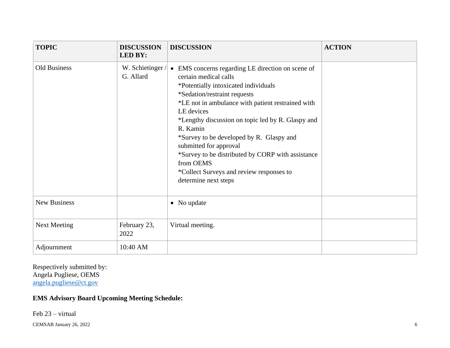| <b>TOPIC</b>        | <b>DISCUSSION</b><br><b>LED BY:</b> | <b>DISCUSSION</b>                                                                                                                                                                                                                                                                                                                                                                                                                                                                                  | <b>ACTION</b> |
|---------------------|-------------------------------------|----------------------------------------------------------------------------------------------------------------------------------------------------------------------------------------------------------------------------------------------------------------------------------------------------------------------------------------------------------------------------------------------------------------------------------------------------------------------------------------------------|---------------|
| Old Business        | W. Schietinger/<br>G. Allard        | • EMS concerns regarding LE direction on scene of<br>certain medical calls<br>*Potentially intoxicated individuals<br>*Sedation/restraint requests<br>*LE not in ambulance with patient restrained with<br>LE devices<br>*Lengthy discussion on topic led by R. Glaspy and<br>R. Kamin<br>*Survey to be developed by R. Glaspy and<br>submitted for approval<br>*Survey to be distributed by CORP with assistance<br>from OEMS<br>*Collect Surveys and review responses to<br>determine next steps |               |
| New Business        |                                     | • No update                                                                                                                                                                                                                                                                                                                                                                                                                                                                                        |               |
| <b>Next Meeting</b> | February 23,<br>2022                | Virtual meeting.                                                                                                                                                                                                                                                                                                                                                                                                                                                                                   |               |
| Adjournment         | 10:40 AM                            |                                                                                                                                                                                                                                                                                                                                                                                                                                                                                                    |               |

Respectively submitted by: Angela Pugliese, OEMS [angela.pugliese@ct.gov](mailto:angela.pugliese@ct.gov)

## **EMS Advisory Board Upcoming Meeting Schedule:**

Feb 23 – virtual